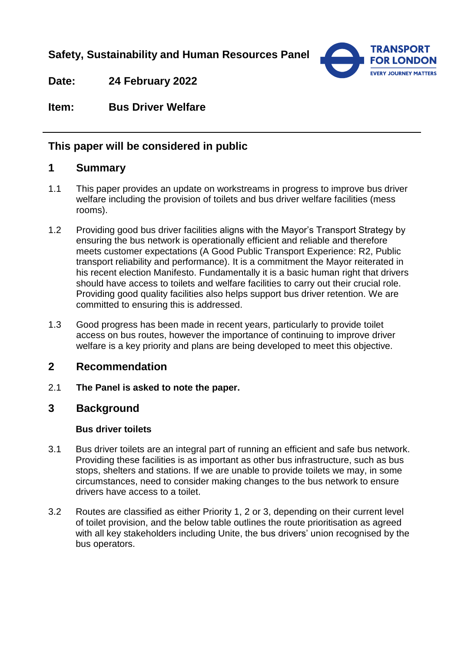**Safety, Sustainability and Human Resources Panel**



**Date: 24 February 2022**

**Item: Bus Driver Welfare**

## **This paper will be considered in public**

## **1 Summary**

- 1.1 This paper provides an update on workstreams in progress to improve bus driver welfare including the provision of toilets and bus driver welfare facilities (mess rooms).
- 1.2 Providing good bus driver facilities aligns with the Mayor's Transport Strategy by ensuring the bus network is operationally efficient and reliable and therefore meets customer expectations (A Good Public Transport Experience: R2, Public transport reliability and performance). It is a commitment the Mayor reiterated in his recent election Manifesto. Fundamentally it is a basic human right that drivers should have access to toilets and welfare facilities to carry out their crucial role. Providing good quality facilities also helps support bus driver retention. We are committed to ensuring this is addressed.
- 1.3 Good progress has been made in recent years, particularly to provide toilet access on bus routes, however the importance of continuing to improve driver welfare is a key priority and plans are being developed to meet this objective.

## **2 Recommendation**

2.1 **The Panel is asked to note the paper.** 

## **3 Background**

#### **Bus driver toilets**

- 3.1 Bus driver toilets are an integral part of running an efficient and safe bus network. Providing these facilities is as important as other bus infrastructure, such as bus stops, shelters and stations. If we are unable to provide toilets we may, in some circumstances, need to consider making changes to the bus network to ensure drivers have access to a toilet.
- 3.2 Routes are classified as either Priority 1, 2 or 3, depending on their current level of toilet provision, and the below table outlines the route prioritisation as agreed with all key stakeholders including Unite, the bus drivers' union recognised by the bus operators.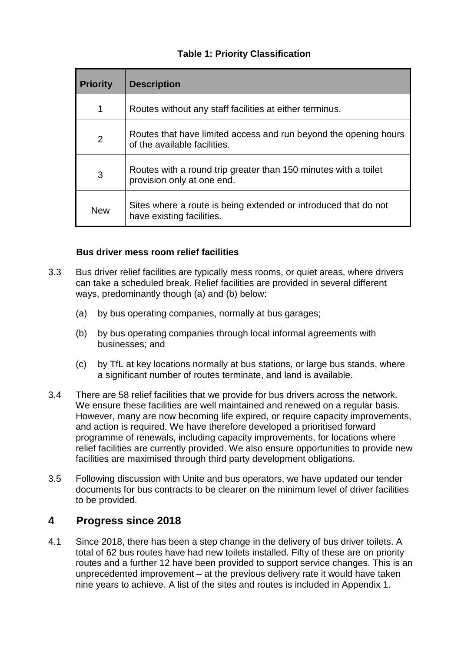### **Table 1: Priority Classification**

| <b>Priority</b> | <b>Description</b>                                                                               |
|-----------------|--------------------------------------------------------------------------------------------------|
| 1               | Routes without any staff facilities at either terminus.                                          |
| 2               | Routes that have limited access and run beyond the opening hours<br>of the available facilities. |
| 3               | Routes with a round trip greater than 150 minutes with a toilet<br>provision only at one end.    |
| <b>New</b>      | Sites where a route is being extended or introduced that do not<br>have existing facilities.     |

#### **Bus driver mess room relief facilities**

- 3.3 Bus driver relief facilities are typically mess rooms, or quiet areas, where drivers can take a scheduled break. Relief facilities are provided in several different ways, predominantly though (a) and (b) below:
	- (a) by bus operating companies, normally at bus garages;
	- (b) by bus operating companies through local informal agreements with businesses; and
	- (c) by TfL at key locations normally at bus stations, or large bus stands, where a significant number of routes terminate, and land is available.
- 3.4 There are 58 relief facilities that we provide for bus drivers across the network. We ensure these facilities are well maintained and renewed on a regular basis. However, many are now becoming life expired, or require capacity improvements, and action is required. We have therefore developed a prioritised forward programme of renewals, including capacity improvements, for locations where relief facilities are currently provided. We also ensure opportunities to provide new facilities are maximised through third party development obligations.
- 3.5 Following discussion with Unite and bus operators, we have updated our tender documents for bus contracts to be clearer on the minimum level of driver facilities to be provided.

## **4 Progress since 2018**

4.1 Since 2018, there has been a step change in the delivery of bus driver toilets. A total of 62 bus routes have had new toilets installed. Fifty of these are on priority routes and a further 12 have been provided to support service changes. This is an unprecedented improvement – at the previous delivery rate it would have taken nine years to achieve. A list of the sites and routes is included in Appendix 1.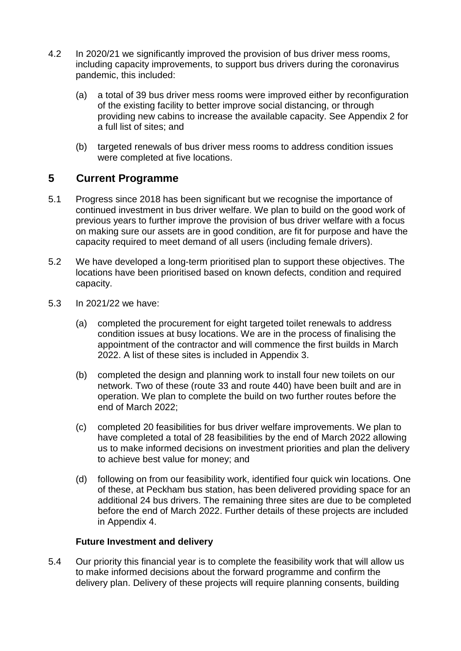- 4.2 In 2020/21 we significantly improved the provision of bus driver mess rooms, including capacity improvements, to support bus drivers during the coronavirus pandemic, this included:
	- (a) a total of 39 bus driver mess rooms were improved either by reconfiguration of the existing facility to better improve social distancing, or through providing new cabins to increase the available capacity. See Appendix 2 for a full list of sites; and
	- (b) targeted renewals of bus driver mess rooms to address condition issues were completed at five locations.

## **5 Current Programme**

- 5.1 Progress since 2018 has been significant but we recognise the importance of continued investment in bus driver welfare. We plan to build on the good work of previous years to further improve the provision of bus driver welfare with a focus on making sure our assets are in good condition, are fit for purpose and have the capacity required to meet demand of all users (including female drivers).
- 5.2 We have developed a long-term prioritised plan to support these objectives. The locations have been prioritised based on known defects, condition and required capacity.
- 5.3 In 2021/22 we have:
	- (a) completed the procurement for eight targeted toilet renewals to address condition issues at busy locations. We are in the process of finalising the appointment of the contractor and will commence the first builds in March 2022. A list of these sites is included in Appendix 3.
	- (b) completed the design and planning work to install four new toilets on our network. Two of these (route 33 and route 440) have been built and are in operation. We plan to complete the build on two further routes before the end of March 2022;
	- (c) completed 20 feasibilities for bus driver welfare improvements. We plan to have completed a total of 28 feasibilities by the end of March 2022 allowing us to make informed decisions on investment priorities and plan the delivery to achieve best value for money; and
	- (d) following on from our feasibility work, identified four quick win locations. One of these, at Peckham bus station, has been delivered providing space for an additional 24 bus drivers. The remaining three sites are due to be completed before the end of March 2022. Further details of these projects are included in Appendix 4.

#### **Future Investment and delivery**

5.4 Our priority this financial year is to complete the feasibility work that will allow us to make informed decisions about the forward programme and confirm the delivery plan. Delivery of these projects will require planning consents, building